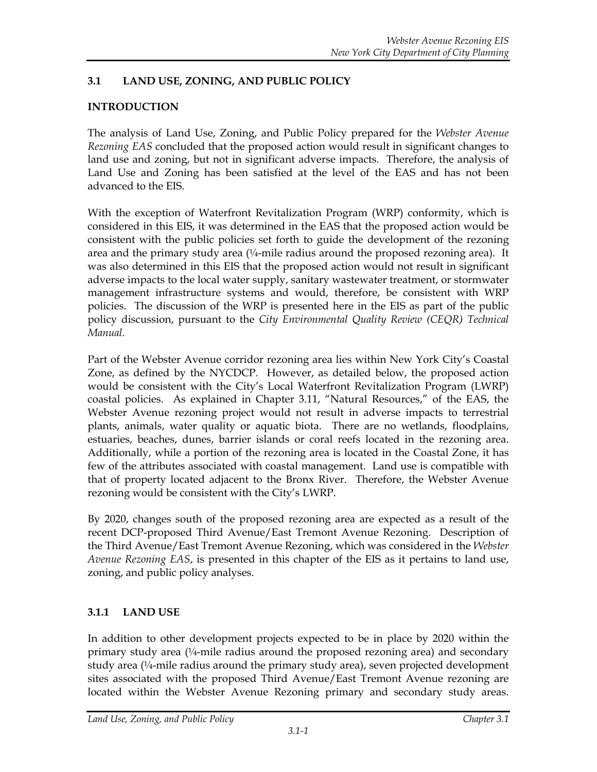# **3.1 LAND USE, ZONING, AND PUBLIC POLICY**

## **INTRODUCTION**

The analysis of Land Use, Zoning, and Public Policy prepared for the *Webster Avenue Rezoning EAS* concluded that the proposed action would result in significant changes to land use and zoning, but not in significant adverse impacts. Therefore, the analysis of Land Use and Zoning has been satisfied at the level of the EAS and has not been advanced to the EIS.

With the exception of Waterfront Revitalization Program (WRP) conformity, which is considered in this EIS, it was determined in the EAS that the proposed action would be consistent with the public policies set forth to guide the development of the rezoning area and the primary study area  $\frac{1}{4}$ -mile radius around the proposed rezoning area). It was also determined in this EIS that the proposed action would not result in significant adverse impacts to the local water supply, sanitary wastewater treatment, or stormwater management infrastructure systems and would, therefore, be consistent with WRP policies. The discussion of the WRP is presented here in the EIS as part of the public policy discussion, pursuant to the *City Environmental Quality Review (CEQR) Technical Manual*.

Part of the Webster Avenue corridor rezoning area lies within New York City's Coastal Zone, as defined by the NYCDCP. However, as detailed below, the proposed action would be consistent with the City's Local Waterfront Revitalization Program (LWRP) coastal policies. As explained in Chapter 3.11, "Natural Resources," of the EAS, the Webster Avenue rezoning project would not result in adverse impacts to terrestrial plants, animals, water quality or aquatic biota. There are no wetlands, floodplains, estuaries, beaches, dunes, barrier islands or coral reefs located in the rezoning area. Additionally, while a portion of the rezoning area is located in the Coastal Zone, it has few of the attributes associated with coastal management. Land use is compatible with that of property located adjacent to the Bronx River. Therefore, the Webster Avenue rezoning would be consistent with the City's LWRP.

By 2020, changes south of the proposed rezoning area are expected as a result of the recent DCP-proposed Third Avenue/East Tremont Avenue Rezoning. Description of the Third Avenue/East Tremont Avenue Rezoning, which was considered in the *Webster Avenue Rezoning EAS*, is presented in this chapter of the EIS as it pertains to land use, zoning, and public policy analyses.

#### **3.1.1 LAND USE**

In addition to other development projects expected to be in place by 2020 within the primary study area  $\frac{1}{4}$ -mile radius around the proposed rezoning area) and secondary study area (¼-mile radius around the primary study area), seven projected development sites associated with the proposed Third Avenue/East Tremont Avenue rezoning are located within the Webster Avenue Rezoning primary and secondary study areas.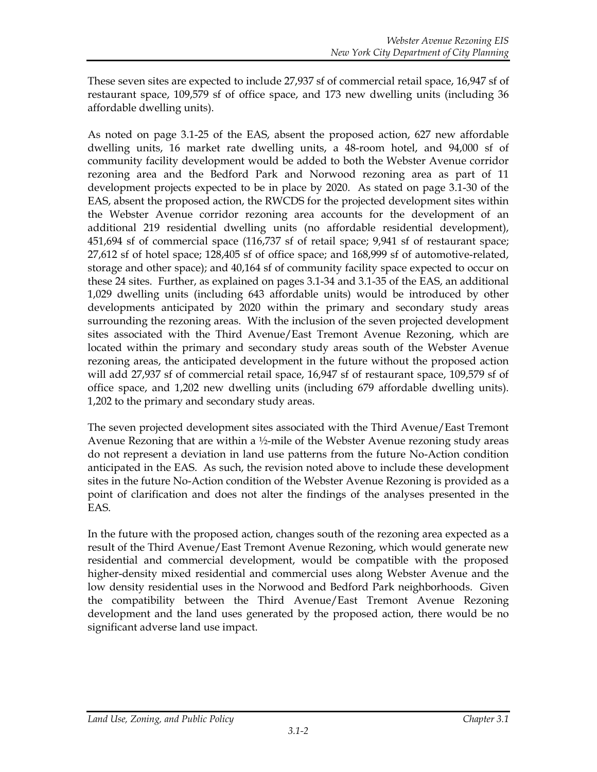These seven sites are expected to include 27,937 sf of commercial retail space, 16,947 sf of restaurant space, 109,579 sf of office space, and 173 new dwelling units (including 36 affordable dwelling units).

As noted on page 3.1-25 of the EAS, absent the proposed action, 627 new affordable dwelling units, 16 market rate dwelling units, a 48-room hotel, and 94,000 sf of community facility development would be added to both the Webster Avenue corridor rezoning area and the Bedford Park and Norwood rezoning area as part of 11 development projects expected to be in place by 2020. As stated on page 3.1-30 of the EAS, absent the proposed action, the RWCDS for the projected development sites within the Webster Avenue corridor rezoning area accounts for the development of an additional 219 residential dwelling units (no affordable residential development), 451,694 sf of commercial space (116,737 sf of retail space; 9,941 sf of restaurant space; 27,612 sf of hotel space; 128,405 sf of office space; and 168,999 sf of automotive-related, storage and other space); and 40,164 sf of community facility space expected to occur on these 24 sites. Further, as explained on pages 3.1-34 and 3.1-35 of the EAS, an additional 1,029 dwelling units (including 643 affordable units) would be introduced by other developments anticipated by 2020 within the primary and secondary study areas surrounding the rezoning areas. With the inclusion of the seven projected development sites associated with the Third Avenue/East Tremont Avenue Rezoning, which are located within the primary and secondary study areas south of the Webster Avenue rezoning areas, the anticipated development in the future without the proposed action will add 27,937 sf of commercial retail space, 16,947 sf of restaurant space, 109,579 sf of office space, and 1,202 new dwelling units (including 679 affordable dwelling units). 1,202 to the primary and secondary study areas.

The seven projected development sites associated with the Third Avenue/East Tremont Avenue Rezoning that are within a ½-mile of the Webster Avenue rezoning study areas do not represent a deviation in land use patterns from the future No-Action condition anticipated in the EAS. As such, the revision noted above to include these development sites in the future No-Action condition of the Webster Avenue Rezoning is provided as a point of clarification and does not alter the findings of the analyses presented in the EAS.

In the future with the proposed action, changes south of the rezoning area expected as a result of the Third Avenue/East Tremont Avenue Rezoning, which would generate new residential and commercial development, would be compatible with the proposed higher-density mixed residential and commercial uses along Webster Avenue and the low density residential uses in the Norwood and Bedford Park neighborhoods. Given the compatibility between the Third Avenue/East Tremont Avenue Rezoning development and the land uses generated by the proposed action, there would be no significant adverse land use impact.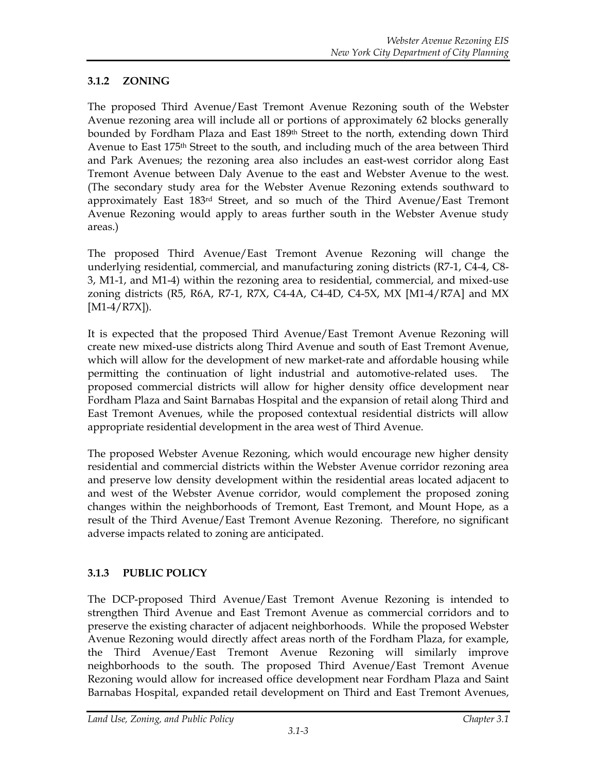# **3.1.2 ZONING**

The proposed Third Avenue/East Tremont Avenue Rezoning south of the Webster Avenue rezoning area will include all or portions of approximately 62 blocks generally bounded by Fordham Plaza and East 189<sup>th</sup> Street to the north, extending down Third Avenue to East 175<sup>th</sup> Street to the south, and including much of the area between Third and Park Avenues; the rezoning area also includes an east-west corridor along East Tremont Avenue between Daly Avenue to the east and Webster Avenue to the west. (The secondary study area for the Webster Avenue Rezoning extends southward to approximately East 183rd Street, and so much of the Third Avenue/East Tremont Avenue Rezoning would apply to areas further south in the Webster Avenue study areas.)

The proposed Third Avenue/East Tremont Avenue Rezoning will change the underlying residential, commercial, and manufacturing zoning districts (R7-1, C4-4, C8- 3, M1-1, and M1-4) within the rezoning area to residential, commercial, and mixed-use zoning districts (R5, R6A, R7-1, R7X, C4-4A, C4-4D, C4-5X, MX [M1-4/R7A] and MX  $[M1-4/ R7X]$ .

It is expected that the proposed Third Avenue/East Tremont Avenue Rezoning will create new mixed-use districts along Third Avenue and south of East Tremont Avenue, which will allow for the development of new market-rate and affordable housing while permitting the continuation of light industrial and automotive-related uses. The proposed commercial districts will allow for higher density office development near Fordham Plaza and Saint Barnabas Hospital and the expansion of retail along Third and East Tremont Avenues, while the proposed contextual residential districts will allow appropriate residential development in the area west of Third Avenue.

The proposed Webster Avenue Rezoning, which would encourage new higher density residential and commercial districts within the Webster Avenue corridor rezoning area and preserve low density development within the residential areas located adjacent to and west of the Webster Avenue corridor, would complement the proposed zoning changes within the neighborhoods of Tremont, East Tremont, and Mount Hope, as a result of the Third Avenue/East Tremont Avenue Rezoning. Therefore, no significant adverse impacts related to zoning are anticipated.

# **3.1.3 PUBLIC POLICY**

The DCP-proposed Third Avenue/East Tremont Avenue Rezoning is intended to strengthen Third Avenue and East Tremont Avenue as commercial corridors and to preserve the existing character of adjacent neighborhoods. While the proposed Webster Avenue Rezoning would directly affect areas north of the Fordham Plaza, for example, the Third Avenue/East Tremont Avenue Rezoning will similarly improve neighborhoods to the south. The proposed Third Avenue/East Tremont Avenue Rezoning would allow for increased office development near Fordham Plaza and Saint Barnabas Hospital, expanded retail development on Third and East Tremont Avenues,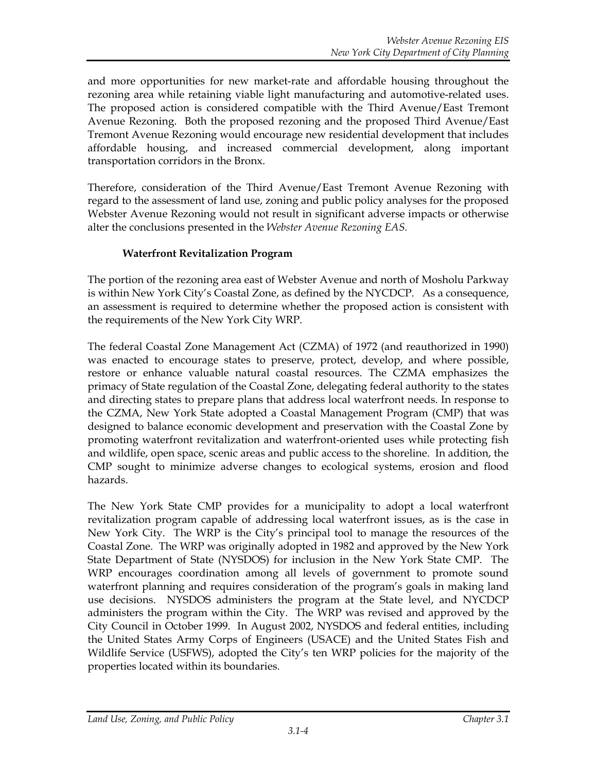and more opportunities for new market-rate and affordable housing throughout the rezoning area while retaining viable light manufacturing and automotive-related uses. The proposed action is considered compatible with the Third Avenue/East Tremont Avenue Rezoning. Both the proposed rezoning and the proposed Third Avenue/East Tremont Avenue Rezoning would encourage new residential development that includes affordable housing, and increased commercial development, along important transportation corridors in the Bronx.

Therefore, consideration of the Third Avenue/East Tremont Avenue Rezoning with regard to the assessment of land use, zoning and public policy analyses for the proposed Webster Avenue Rezoning would not result in significant adverse impacts or otherwise alter the conclusions presented in the *Webster Avenue Rezoning EAS.*

### **Waterfront Revitalization Program**

The portion of the rezoning area east of Webster Avenue and north of Mosholu Parkway is within New York City's Coastal Zone, as defined by the NYCDCP. As a consequence, an assessment is required to determine whether the proposed action is consistent with the requirements of the New York City WRP.

The federal Coastal Zone Management Act (CZMA) of 1972 (and reauthorized in 1990) was enacted to encourage states to preserve, protect, develop, and where possible, restore or enhance valuable natural coastal resources. The CZMA emphasizes the primacy of State regulation of the Coastal Zone, delegating federal authority to the states and directing states to prepare plans that address local waterfront needs. In response to the CZMA, New York State adopted a Coastal Management Program (CMP) that was designed to balance economic development and preservation with the Coastal Zone by promoting waterfront revitalization and waterfront-oriented uses while protecting fish and wildlife, open space, scenic areas and public access to the shoreline. In addition, the CMP sought to minimize adverse changes to ecological systems, erosion and flood hazards.

The New York State CMP provides for a municipality to adopt a local waterfront revitalization program capable of addressing local waterfront issues, as is the case in New York City. The WRP is the City's principal tool to manage the resources of the Coastal Zone. The WRP was originally adopted in 1982 and approved by the New York State Department of State (NYSDOS) for inclusion in the New York State CMP. The WRP encourages coordination among all levels of government to promote sound waterfront planning and requires consideration of the program's goals in making land use decisions. NYSDOS administers the program at the State level, and NYCDCP administers the program within the City. The WRP was revised and approved by the City Council in October 1999. In August 2002, NYSDOS and federal entities, including the United States Army Corps of Engineers (USACE) and the United States Fish and Wildlife Service (USFWS), adopted the City's ten WRP policies for the majority of the properties located within its boundaries.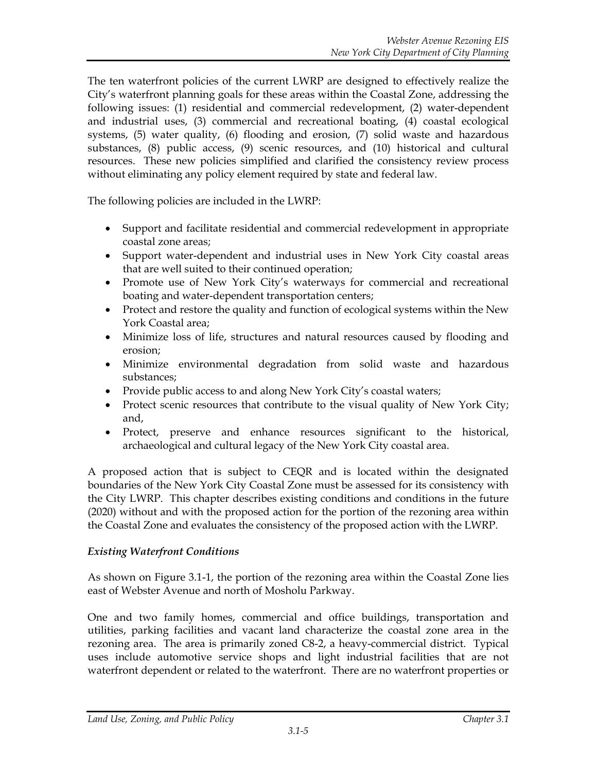The ten waterfront policies of the current LWRP are designed to effectively realize the City's waterfront planning goals for these areas within the Coastal Zone, addressing the following issues: (1) residential and commercial redevelopment, (2) water-dependent and industrial uses, (3) commercial and recreational boating, (4) coastal ecological systems, (5) water quality, (6) flooding and erosion, (7) solid waste and hazardous substances, (8) public access, (9) scenic resources, and (10) historical and cultural resources. These new policies simplified and clarified the consistency review process without eliminating any policy element required by state and federal law.

The following policies are included in the LWRP:

- Support and facilitate residential and commercial redevelopment in appropriate coastal zone areas;
- Support water-dependent and industrial uses in New York City coastal areas that are well suited to their continued operation;
- Promote use of New York City's waterways for commercial and recreational boating and water-dependent transportation centers;
- Protect and restore the quality and function of ecological systems within the New York Coastal area;
- Minimize loss of life, structures and natural resources caused by flooding and erosion;
- Minimize environmental degradation from solid waste and hazardous substances;
- Provide public access to and along New York City's coastal waters;
- Protect scenic resources that contribute to the visual quality of New York City; and,
- Protect, preserve and enhance resources significant to the historical, archaeological and cultural legacy of the New York City coastal area.

A proposed action that is subject to CEQR and is located within the designated boundaries of the New York City Coastal Zone must be assessed for its consistency with the City LWRP. This chapter describes existing conditions and conditions in the future (2020) without and with the proposed action for the portion of the rezoning area within the Coastal Zone and evaluates the consistency of the proposed action with the LWRP.

# *Existing Waterfront Conditions*

As shown on Figure 3.1-1, the portion of the rezoning area within the Coastal Zone lies east of Webster Avenue and north of Mosholu Parkway.

One and two family homes, commercial and office buildings, transportation and utilities, parking facilities and vacant land characterize the coastal zone area in the rezoning area. The area is primarily zoned C8-2, a heavy-commercial district. Typical uses include automotive service shops and light industrial facilities that are not waterfront dependent or related to the waterfront. There are no waterfront properties or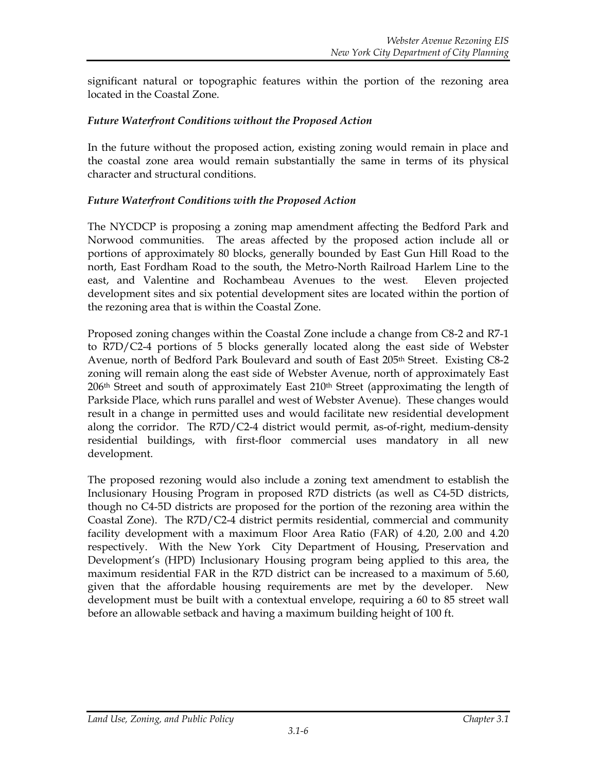significant natural or topographic features within the portion of the rezoning area located in the Coastal Zone.

#### *Future Waterfront Conditions without the Proposed Action*

In the future without the proposed action, existing zoning would remain in place and the coastal zone area would remain substantially the same in terms of its physical character and structural conditions.

#### *Future Waterfront Conditions with the Proposed Action*

The NYCDCP is proposing a zoning map amendment affecting the Bedford Park and Norwood communities. The areas affected by the proposed action include all or portions of approximately 80 blocks, generally bounded by East Gun Hill Road to the north, East Fordham Road to the south, the Metro-North Railroad Harlem Line to the east, and Valentine and Rochambeau Avenues to the west. Eleven projected development sites and six potential development sites are located within the portion of the rezoning area that is within the Coastal Zone.

Proposed zoning changes within the Coastal Zone include a change from C8-2 and R7-1 to R7D/C2-4 portions of 5 blocks generally located along the east side of Webster Avenue, north of Bedford Park Boulevard and south of East 205<sup>th</sup> Street. Existing C8-2 zoning will remain along the east side of Webster Avenue, north of approximately East  $206<sup>th</sup>$  Street and south of approximately East  $210<sup>th</sup>$  Street (approximating the length of Parkside Place, which runs parallel and west of Webster Avenue). These changes would result in a change in permitted uses and would facilitate new residential development along the corridor. The R7D/C2-4 district would permit, as-of-right, medium-density residential buildings, with first-floor commercial uses mandatory in all new development.

The proposed rezoning would also include a zoning text amendment to establish the Inclusionary Housing Program in proposed R7D districts (as well as C4-5D districts, though no C4-5D districts are proposed for the portion of the rezoning area within the Coastal Zone). The R7D/C2-4 district permits residential, commercial and community facility development with a maximum Floor Area Ratio (FAR) of 4.20, 2.00 and 4.20 respectively. With the New York City Department of Housing, Preservation and Development's (HPD) Inclusionary Housing program being applied to this area, the maximum residential FAR in the R7D district can be increased to a maximum of 5.60, given that the affordable housing requirements are met by the developer. New development must be built with a contextual envelope, requiring a 60 to 85 street wall before an allowable setback and having a maximum building height of 100 ft.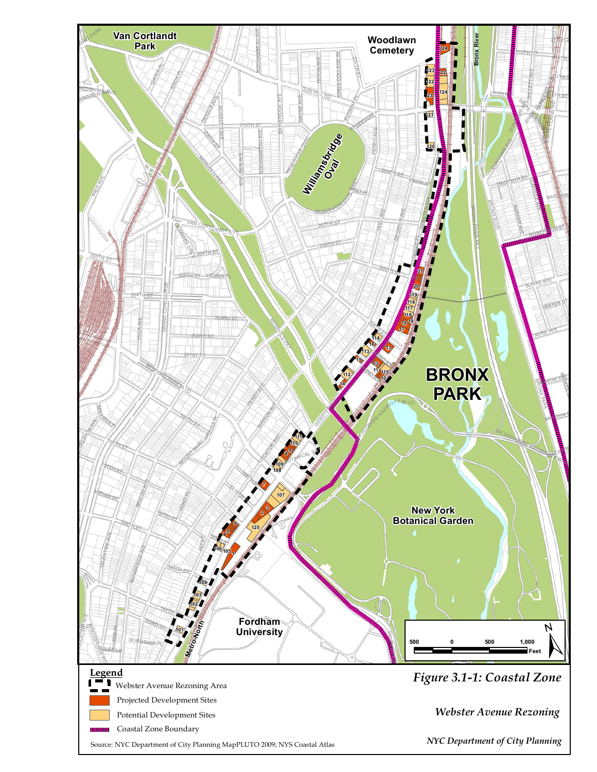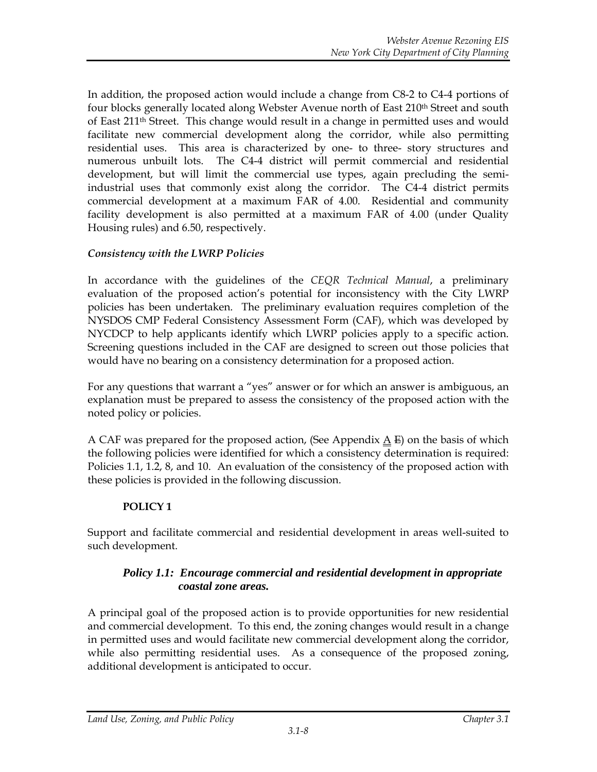In addition, the proposed action would include a change from C8-2 to C4-4 portions of four blocks generally located along Webster Avenue north of East 210<sup>th</sup> Street and south of East 211th Street. This change would result in a change in permitted uses and would facilitate new commercial development along the corridor, while also permitting residential uses. This area is characterized by one- to three- story structures and numerous unbuilt lots. The C4-4 district will permit commercial and residential development, but will limit the commercial use types, again precluding the semiindustrial uses that commonly exist along the corridor. The C4-4 district permits commercial development at a maximum FAR of 4.00. Residential and community facility development is also permitted at a maximum FAR of 4.00 (under Quality Housing rules) and 6.50, respectively.

#### *Consistency with the LWRP Policies*

In accordance with the guidelines of the *CEQR Technical Manual*, a preliminary evaluation of the proposed action's potential for inconsistency with the City LWRP policies has been undertaken. The preliminary evaluation requires completion of the NYSDOS CMP Federal Consistency Assessment Form (CAF), which was developed by NYCDCP to help applicants identify which LWRP policies apply to a specific action. Screening questions included in the CAF are designed to screen out those policies that would have no bearing on a consistency determination for a proposed action.

For any questions that warrant a "yes" answer or for which an answer is ambiguous, an explanation must be prepared to assess the consistency of the proposed action with the noted policy or policies.

A CAF was prepared for the proposed action, (See Appendix  $\underline{A} \underline{F}$ ) on the basis of which the following policies were identified for which a consistency determination is required: Policies 1.1, 1.2, 8, and 10. An evaluation of the consistency of the proposed action with these policies is provided in the following discussion.

#### **POLICY 1**

Support and facilitate commercial and residential development in areas well-suited to such development.

#### *Policy 1.1: Encourage commercial and residential development in appropriate coastal zone areas.*

A principal goal of the proposed action is to provide opportunities for new residential and commercial development. To this end, the zoning changes would result in a change in permitted uses and would facilitate new commercial development along the corridor, while also permitting residential uses. As a consequence of the proposed zoning, additional development is anticipated to occur.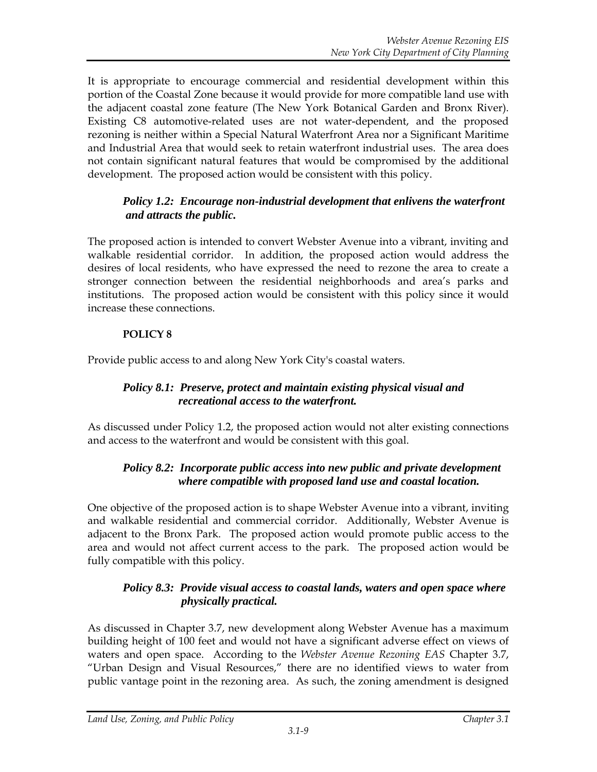It is appropriate to encourage commercial and residential development within this portion of the Coastal Zone because it would provide for more compatible land use with the adjacent coastal zone feature (The New York Botanical Garden and Bronx River). Existing C8 automotive-related uses are not water-dependent, and the proposed rezoning is neither within a Special Natural Waterfront Area nor a Significant Maritime and Industrial Area that would seek to retain waterfront industrial uses. The area does not contain significant natural features that would be compromised by the additional development. The proposed action would be consistent with this policy.

### *Policy 1.2: Encourage non-industrial development that enlivens the waterfront and attracts the public.*

The proposed action is intended to convert Webster Avenue into a vibrant, inviting and walkable residential corridor. In addition, the proposed action would address the desires of local residents, who have expressed the need to rezone the area to create a stronger connection between the residential neighborhoods and area's parks and institutions. The proposed action would be consistent with this policy since it would increase these connections.

### **POLICY 8**

Provide public access to and along New York City's coastal waters.

## *Policy 8.1: Preserve, protect and maintain existing physical visual and recreational access to the waterfront.*

As discussed under Policy 1.2, the proposed action would not alter existing connections and access to the waterfront and would be consistent with this goal.

### *Policy 8.2: Incorporate public access into new public and private development where compatible with proposed land use and coastal location.*

One objective of the proposed action is to shape Webster Avenue into a vibrant, inviting and walkable residential and commercial corridor. Additionally, Webster Avenue is adjacent to the Bronx Park. The proposed action would promote public access to the area and would not affect current access to the park. The proposed action would be fully compatible with this policy.

# *Policy 8.3: Provide visual access to coastal lands, waters and open space where physically practical.*

As discussed in Chapter 3.7, new development along Webster Avenue has a maximum building height of 100 feet and would not have a significant adverse effect on views of waters and open space. According to the *Webster Avenue Rezoning EAS* Chapter 3.7, "Urban Design and Visual Resources," there are no identified views to water from public vantage point in the rezoning area. As such, the zoning amendment is designed